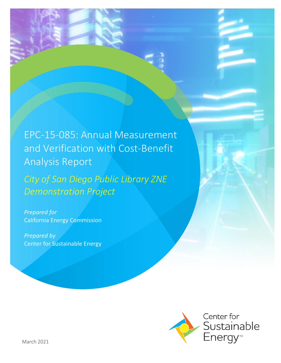EPC-15-085: Annual Measurement and Verification with Cost-Benefit Analysis Report

*City of San Diego Public Library ZNE Demonstration Project* 

*Prepared for* California Energy Commission

*Prepared by* Center for Sustainable Energy

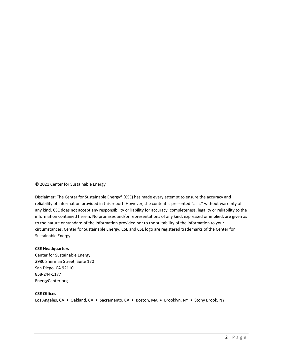© 2021 Center for Sustainable Energy

Disclaimer: The Center for Sustainable Energy® (CSE) has made every attempt to ensure the accuracy and reliability of information provided in this report. However, the content is presented "as is" without warranty of any kind. CSE does not accept any responsibility or liability for accuracy, completeness, legality or reliability to the information contained herein. No promises and/or representations of any kind, expressed or implied, are given as to the nature or standard of the information provided nor to the suitability of the information to your circumstances. Center for Sustainable Energy, CSE and CSE logo are registered trademarks of the Center for Sustainable Energy.

#### **CSE Headquarters**

Center for Sustainable Energy 3980 Sherman Street, Suite 170 San Diego, CA 92110 858-244-1177 EnergyCenter.org

#### **CSE Offices**

Los Angeles, CA • Oakland, CA • Sacramento, CA • Boston, MA • Brooklyn, NY • Stony Brook, NY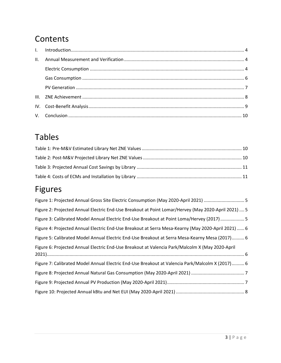# **Contents**

# Tables

# Figures

| Figure 1: Projected Annual Gross Site Electric Consumption (May 2020-April 2021)  5                 |
|-----------------------------------------------------------------------------------------------------|
| Figure 2: Projected Annual Electric End-Use Breakout at Point Lomar/Hervey (May 2020-April 2021)  5 |
| Figure 3: Calibrated Model Annual Electric End-Use Breakout at Point Loma/Hervey (2017) 5           |
| Figure 4: Projected Annual Electric End-Use Breakout at Serra Mesa-Kearny (May 2020-April 2021)  6  |
| Figure 5: Calibrated Model Annual Electric End-Use Breakout at Serra Mesa-Kearny Mesa (2017) 6      |
| Figure 6: Projected Annual Electric End-Use Breakout at Valencia Park/Malcolm X (May 2020-April     |
| Figure 7: Calibrated Model Annual Electric End-Use Breakout at Valencia Park/Malcolm X (2017) 6     |
|                                                                                                     |
|                                                                                                     |
|                                                                                                     |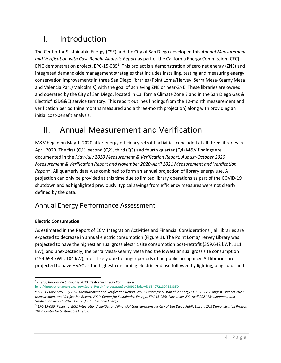# <span id="page-3-0"></span>I. Introduction

The Center for Sustainable Energy (CSE) and the City of San Diego developed this *Annual Measurement and Verification with Cost-Benefit Analysis Report* as part of the California Energy Commission (CEC) EPIC demonstration project, EPC-[1](#page-3-2)5-085<sup>1</sup>. This project is a demonstration of zero net energy (ZNE) and integrated demand-side management strategies that includes installing, testing and measuring energy conservation improvements in three San Diego libraries (Point Loma/Hervey, Serra Mesa-Kearny Mesa and Valencia Park/Malcolm X) with the goal of achieving ZNE or near-ZNE. These libraries are owned and operated by the City of San Diego, located in California Climate Zone 7 and in the San Diego Gas & Electric® (SDG&E) service territory. This report outlines findings from the 12-month measurement and verification period (nine months measured and a three-month projection) along with providing an initial cost-benefit analysis.

### <span id="page-3-1"></span>II. Annual Measurement and Verification

M&V began on May 1, 2020 after energy efficiency retrofit activities concluded at all three libraries in April 2020. The first  $(Q1)$ , second  $(Q2)$ , third  $(Q3)$  and fourth quarter  $(Q4)$  M&V findings are documented in the *May-July 2020 Measurement & Verification Report, August-October 2020 Measurement & Verification Report and November 2020-April 2021 Measurement and Verification*  Report<sup>[2](#page-3-3)</sup>. All quarterly data was combined to form an annual projection of library energy use. A projection can only be provided at this time due to limited library operations as part of the COVID-19 shutdown and as highlighted previously, typical savings from efficiency measures were not clearly defined by the data.

### Annual Energy Performance Assessment

### **Electric Consumption**

As estimated in the Report of ECM Integration Activities and Financial Considerations<sup>[3](#page-3-4)</sup>, all libraries are expected to decrease in annual electric consumption (Figure 1). The Point Loma/Hervey Library was projected to have the highest annual gross electric site consumption post-retrofit (359.642 kWh, 111 kW), and unexpectedly, the Serra Mesa-Kearny Mesa had the lowest annual gross site consumption (154.693 kWh, 104 kW), most likely due to longer periods of no public occupancy. All libraries are projected to have HVAC as the highest consuming electric end use followed by lighting, plug loads and

<span id="page-3-2"></span><sup>1</sup> *Energy Innovation Showcase.*2020. California Energy Commission.

<http://innovation.energy.ca.gov/SearchResultProject.aspx?p=30919&tks=636842721307653350>

<span id="page-3-3"></span><sup>2</sup> *EPC-15-085: May-July 2020 Measurement and Verification Report. 2020. Center for Sustainable Energy.; EPC-15-085: August-October 2020 Measurement and Verification Report. 2020. Center for Sustainable Energy.; EPC-15-085: November 202-April 2021 Measurement and Verification Report. 2020. Center for Sustainable Energy.* 

<span id="page-3-4"></span><sup>3</sup> *EPC-15-085: Report of ECM Integration Activities and Financial Considerations for City of San Diego Public Library ZNE Demonstration Project. 2019. Center for Sustainable Energy.*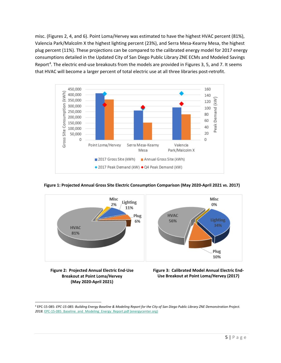misc. (Figures 2, 4, and 6). Point Loma/Hervey was estimated to have the highest HVAC percent (81%), Valencia Park/Malcolm X the highest lighting percent (23%), and Serra Mesa-Kearny Mesa, the highest plug percent (11%). These projections can be compared to the calibrated energy model for 2017 energy consumptions detailed in the Updated City of San Diego Public Library ZNE ECMs and Modeled Savings Report<sup>[4](#page-4-0)</sup>. The electric end-use breakouts from the models are provided in Figures 3, 5, and 7. It seems that HVAC will become a larger percent of total electric use at all three libraries post-retrofit.



### **Figure 1: Projected Annual Gross Site Electric Consumption Comparison (May 2020-April 2021 vs. 2017)**



**Figure 2: Projected Annual Electric End-Use Breakout at Point Loma/Hervey (May 2020-April 2021)**

**Figure 3: Calibrated Model Annual Electric End-Use Breakout at Point Loma/Hervey (2017)**

<span id="page-4-0"></span><sup>4</sup> EPC-15-085: *EPC-15-085: Building Energy Baseline & Modeling Report for the City of San Diego Public Library ZNE Demonstration Project.*  2018. EPC-15-085 Baseline and Modeling Energy Report.pdf (energycenter.org)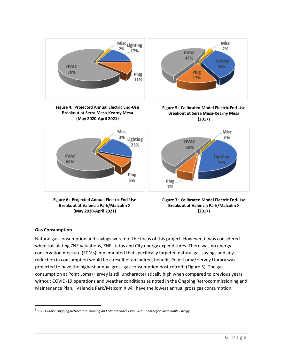

**(May 2020-April 2021)**



### **Gas Consumption**

Natural gas consumption and savings were not the focus of this project. However, it was considered when calculating ZNE valuations, ZNE status and City energy expenditures. There was no energy conservation measure (ECMs) implemented that specifically targeted natural gas savings and any reduction in consumption would be a result of an indirect benefit. Point Loma/Hervey Library was projected to have the highest annual gross gas consumption post-retrofit (Figure 5). The gas consumption at Point Loma/Hervey is still uncharacteristically high when compared to previous years without COVID-19 operations and weather conditions as noted in the Ongoing Retrocommissioning and Maintenance Plan.<sup>[5](#page-5-0)</sup> Valencia Park/Malcom X will have the lowest annual gross gas consumption.

<span id="page-5-0"></span><sup>5</sup> *EPC-15-085: Ongoing Retrocommissioning and Maintenance Plan. 2021. Center for Sustainable Energy.*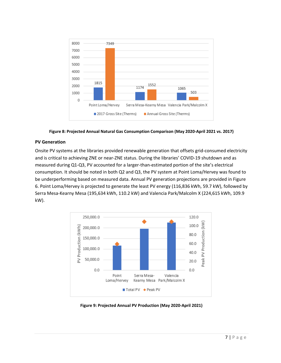

**Figure 8: Projected Annual Natural Gas Consumption Comparison (May 2020-April 2021 vs. 2017)**

### **PV Generation**

Onsite PV systems at the libraries provided renewable generation that offsets grid-consumed electricity and is critical to achieving ZNE or near-ZNE status. During the libraries' COVID-19 shutdown and as measured during Q1-Q3, PV accounted for a larger-than-estimated portion of the site's electrical consumption. It should be noted in both Q2 and Q3, the PV system at Point Loma/Hervey was found to be underperforming based on measured data. Annual PV generation projections are provided in Figure 6. Point Loma/Hervey is projected to generate the least PV energy (116,836 kWh, 59.7 kW), followed by Serra Mesa-Kearny Mesa (195,634 kWh, 110.2 kW) and Valencia Park/Malcolm X (224,615 kWh, 109.9 kW).



**Figure 9: Projected Annual PV Production (May 2020-April 2021)**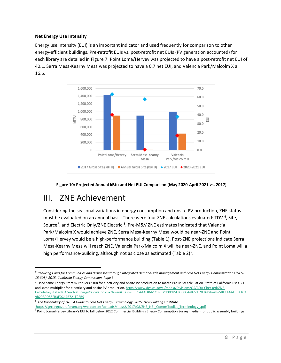### **Net Energy Use Intensity**

Energy use intensity (EUI) is an important indicator and used frequently for comparison to other energy-efficient buildings. Pre-retrofit EUIs vs. post-retrofit net EUIs (PV generation accounted) for each library are detailed in Figure 7. Point Loma/Hervey was projected to have a post-retrofit net EUI of 40.1. Serra Mesa-Kearny Mesa was projected to have a 0.7 net EUI, and Valencia Park/Malcolm X a 16.6.





### <span id="page-7-0"></span>III. ZNE Achievement

Considering the seasonal variations in energy consumption and onsite PV production, ZNE status must be evaluated on an annual basis. There were four ZNE calculations evaluated: TDV <sup>[6](#page-7-1)</sup>, Site, Source<sup>[7](#page-7-2)</sup>, and Electric Only/ZNE Electric <sup>[8](#page-7-3)</sup>. Pre-M&V ZNE estimates indicated that Valencia Park/Malcolm X would achieve ZNE, Serra Mesa-Kearny Mesa would be near-ZNE and Point Loma/Hervey would be a high-performance building (Table 1). Post-ZNE projections indicate Serra Mesa-Kearny Mesa will reach ZNE, Valencia Park/Malcolm X will be near-ZNE, and Point Loma will a high performance-building, although not as close as estimated (Table 2)<sup>[9](#page-7-4)</sup>.

<span id="page-7-1"></span><sup>6</sup> *Reducing Costs for Communities and Businesses through Integrated Demand-side management and Zero Net Energy Demonstrations (GFO-15-308). 2015. California Energy Commission. Page 3*.

<span id="page-7-2"></span> $^7$  Used same Energy Start multiplier (2.80) for electricity and onsite PV production to match Pre-M&V calculation. State of California uses 3.15 and same multiplier for electricity and onsite PV production[. https://www.dgs.ca.gov/-/media/Divisions/OS/ADA-Checked/ZNE-](https://www.dgs.ca.gov/-/media/Divisions/OS/ADA-Checked/ZNE-Calculator/StateofCAZeroNetEnergyCalculator.xlsx?la=en&hash=5BE1AAAF86A1C39B29B0D85FB3E0C44B721F9EB9&hash=5BE1AAAF86A1C39B29B0D85FB3E0C44B721F9EB9)[Calculator/StateofCAZeroNetEnergyCalculator.xlsx?la=en&hash=5BE1AAAF86A1C39B29B0D85FB3E0C44B721F9EB9&hash=5BE1AAAF86A1C3](https://www.dgs.ca.gov/-/media/Divisions/OS/ADA-Checked/ZNE-Calculator/StateofCAZeroNetEnergyCalculator.xlsx?la=en&hash=5BE1AAAF86A1C39B29B0D85FB3E0C44B721F9EB9&hash=5BE1AAAF86A1C39B29B0D85FB3E0C44B721F9EB9) [9B29B0D85FB3E0C44B721F9EB9](https://www.dgs.ca.gov/-/media/Divisions/OS/ADA-Checked/ZNE-Calculator/StateofCAZeroNetEnergyCalculator.xlsx?la=en&hash=5BE1AAAF86A1C39B29B0D85FB3E0C44B721F9EB9&hash=5BE1AAAF86A1C39B29B0D85FB3E0C44B721F9EB9)

<span id="page-7-3"></span><sup>8</sup> *The Vocabulary of ZNE: A Guide to Zero Net Energy Terminology. 2015. New Buildings Institute.*  [https://gettingtozeroforum.org/wp-content/uploads/sites/2/2017/08/ZNE\\_NBI\\_CommsToolkit\\_Terminology\\_.pdf](https://gettingtozeroforum.org/wp-content/uploads/sites/2/2017/08/ZNE_NBI_CommsToolkit_Terminology_.pdf)

<span id="page-7-4"></span><sup>9</sup> Point Loma/Hervey Library's EUI to fall below 2012 Commercial Buildings Energy Consumption Survey median for public assembly buildings.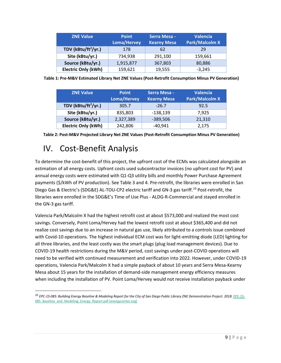| <b>ZNE Value</b>           | <b>Point</b><br><b>Loma/Hervey</b> | <b>Serra Mesa -</b><br><b>Kearny Mesa</b> | <b>Valencia</b><br><b>Park/Malcolm X</b> |
|----------------------------|------------------------------------|-------------------------------------------|------------------------------------------|
| TDV ( $kBtu/ft^2/yr.$ )    | 178                                | 62                                        | 29                                       |
| Site (kBtu/yr.)            | 734,938                            | 291,100                                   | 159,661                                  |
| Source (kBtu/yr.)          | 1,915,877                          | 367,803                                   | 80,886                                   |
| <b>Electric Only (kWh)</b> | 159,621                            | 19,555                                    | $-3,245$                                 |

**Table 1: Pre-M&V Estimated Library Net ZNE Values (Post-Retrofit Consumption Minus PV Generation)**

| <b>ZNE Value</b>                | <b>Point</b><br>Loma/Hervey | <b>Serra Mesa -</b><br><b>Kearny Mesa</b> | <b>Valencia</b><br><b>Park/Malcolm X</b> |
|---------------------------------|-----------------------------|-------------------------------------------|------------------------------------------|
| TDV (kBtu/ft <sup>2</sup> /yr.) | 305.7                       | $-26.7$                                   | 92.5                                     |
| Site (kBtu/yr.)                 | 835,803                     | $-138,139$                                | 7,925                                    |
| Source (kBtu/yr.)               | 2,327,389                   | $-389,506$                                | 21,310                                   |
| <b>Electric Only (kWh)</b>      | 242,806                     | $-40,941$                                 | 2,175                                    |

| Table 2: Post-M&V Projected Library Net ZNE Values (Post-Retrofit Consumption Minus PV Generation) |  |
|----------------------------------------------------------------------------------------------------|--|
|----------------------------------------------------------------------------------------------------|--|

## <span id="page-8-0"></span>IV. Cost-Benefit Analysis

To determine the cost-benefit of this project, the upfront cost of the ECMs was calculated alongside an estimation of all energy costs. Upfront costs used subcontractor invoices (no upfront cost for PV) and annual energy costs were estimated with Q1-Q3 utility bills and monthly Power Purchase Agreement payments (\$/kWh of PV production). See Table 3 and 4. Pre-retrofit, the libraries were enrolled in San Diego Gas & Electric's (SDG&E) AL-TOU-CP2 electric tariff and GN-3 gas tariff.[10](#page-8-1) Post-retrofit, the libraries were enrolled in the SDG&E's Time of Use Plus - ALDG-R-Commercial and stayed enrolled in the GN-3 gas tariff.

Valencia Park/Malcolm X had the highest retrofit cost at about \$573,000 and realized the most cost savings. Conversely, Point Loma/Hervey had the lowest retrofit cost at about \$365,400 and did not realize cost savings due to an increase in natural gas use, likely attributed to a controls issue combined with Covid-10 operations. The highest individual ECM cost was for light-emitting diode (LED) lighting for all three libraries, and the least costly was the smart plugs (plug load management devices). Due to COVID-19 health restrictions during the M&V period, cost savings under post-COVID operations will need to be verified with continued measurement and verification into 2022. However, under COVID-19 operations, Valencia Park/Malcolm X had a simple payback of about 10 years and Serra Mesa-Kearny Mesa about 15 years for the installation of demand-side management energy efficiency measures when including the installation of PV. Point Loma/Hervey would not receive installation payback under

<span id="page-8-1"></span><sup>10</sup> *EPC-15-085: Building Energy Baseline & Modeling Report for the City of San Diego Public Library ZNE Demonstration Project. 2018.* [EPC-15-](https://sites.energycenter.org/sites/default/files/docs/microsites/sdzn3/EPC-15-085_Baseline_and_Modeling_Energy_Report.pdf) 085 Baseline and Modeling Energy Report.pdf (energycenter.org)